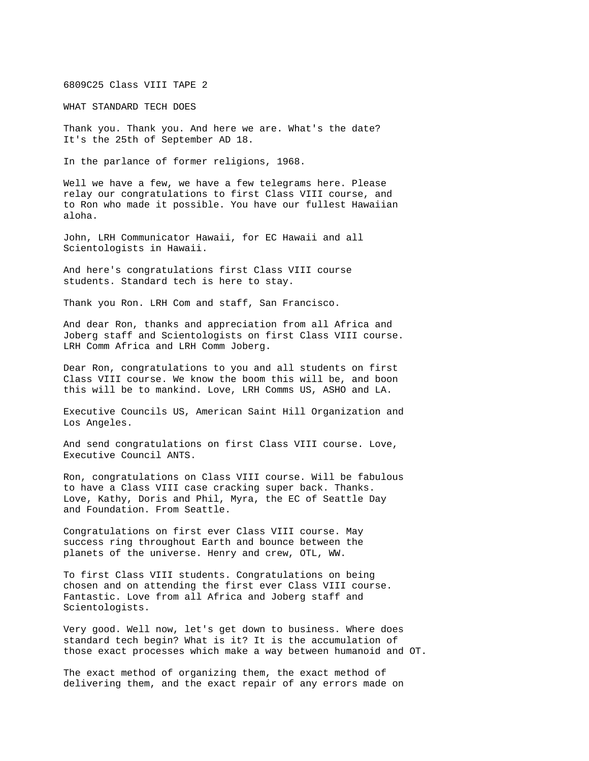6809C25 Class VIII TAPE 2

WHAT STANDARD TECH DOES

Thank you. Thank you. And here we are. What's the date? It's the 25th of September AD 18.

In the parlance of former religions, 1968.

Well we have a few, we have a few telegrams here. Please relay our congratulations to first Class VIII course, and to Ron who made it possible. You have our fullest Hawaiian aloha.

John, LRH Communicator Hawaii, for EC Hawaii and all Scientologists in Hawaii.

And here's congratulations first Class VIII course students. Standard tech is here to stay.

Thank you Ron. LRH Com and staff, San Francisco.

And dear Ron, thanks and appreciation from all Africa and Joberg staff and Scientologists on first Class VIII course. LRH Comm Africa and LRH Comm Joberg.

Dear Ron, congratulations to you and all students on first Class VIII course. We know the boom this will be, and boon this will be to mankind. Love, LRH Comms US, ASHO and LA.

Executive Councils US, American Saint Hill Organization and Los Angeles.

And send congratulations on first Class VIII course. Love, Executive Council ANTS.

Ron, congratulations on Class VIII course. Will be fabulous to have a Class VIII case cracking super back. Thanks. Love, Kathy, Doris and Phil, Myra, the EC of Seattle Day and Foundation. From Seattle.

Congratulations on first ever Class VIII course. May success ring throughout Earth and bounce between the planets of the universe. Henry and crew, OTL, WW.

To first Class VIII students. Congratulations on being chosen and on attending the first ever Class VIII course. Fantastic. Love from all Africa and Joberg staff and Scientologists.

Very good. Well now, let's get down to business. Where does standard tech begin? What is it? It is the accumulation of those exact processes which make a way between humanoid and OT.

The exact method of organizing them, the exact method of delivering them, and the exact repair of any errors made on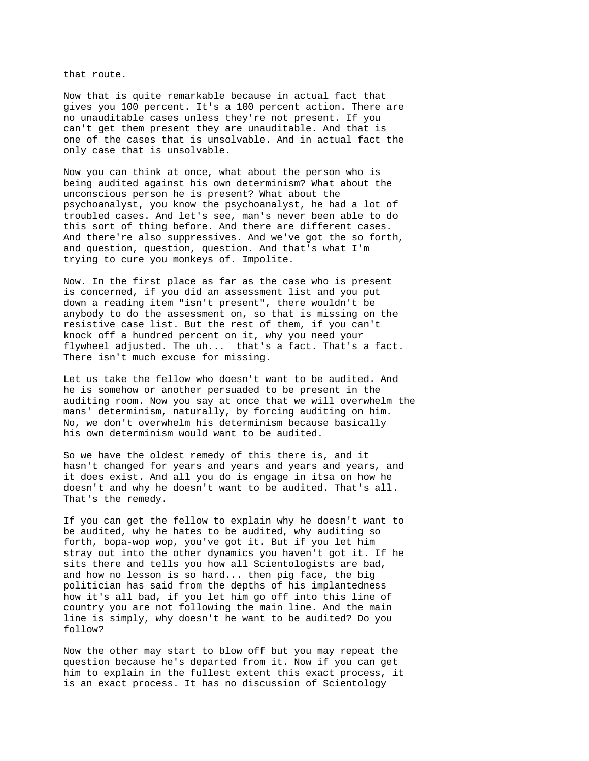that route.

Now that is quite remarkable because in actual fact that gives you 100 percent. It's a 100 percent action. There are no unauditable cases unless they're not present. If you can't get them present they are unauditable. And that is one of the cases that is unsolvable. And in actual fact the only case that is unsolvable.

Now you can think at once, what about the person who is being audited against his own determinism? What about the unconscious person he is present? What about the psychoanalyst, you know the psychoanalyst, he had a lot of troubled cases. And let's see, man's never been able to do this sort of thing before. And there are different cases. And there're also suppressives. And we've got the so forth, and question, question, question. And that's what I'm trying to cure you monkeys of. Impolite.

Now. In the first place as far as the case who is present is concerned, if you did an assessment list and you put down a reading item "isn't present", there wouldn't be anybody to do the assessment on, so that is missing on the resistive case list. But the rest of them, if you can't knock off a hundred percent on it, why you need your flywheel adjusted. The uh... that's a fact. That's a fact. There isn't much excuse for missing.

Let us take the fellow who doesn't want to be audited. And he is somehow or another persuaded to be present in the auditing room. Now you say at once that we will overwhelm the mans' determinism, naturally, by forcing auditing on him. No, we don't overwhelm his determinism because basically his own determinism would want to be audited.

So we have the oldest remedy of this there is, and it hasn't changed for years and years and years and years, and it does exist. And all you do is engage in itsa on how he doesn't and why he doesn't want to be audited. That's all. That's the remedy.

If you can get the fellow to explain why he doesn't want to be audited, why he hates to be audited, why auditing so forth, bopa-wop wop, you've got it. But if you let him stray out into the other dynamics you haven't got it. If he sits there and tells you how all Scientologists are bad, and how no lesson is so hard... then pig face, the big politician has said from the depths of his implantedness how it's all bad, if you let him go off into this line of country you are not following the main line. And the main line is simply, why doesn't he want to be audited? Do you follow?

Now the other may start to blow off but you may repeat the question because he's departed from it. Now if you can get him to explain in the fullest extent this exact process, it is an exact process. It has no discussion of Scientology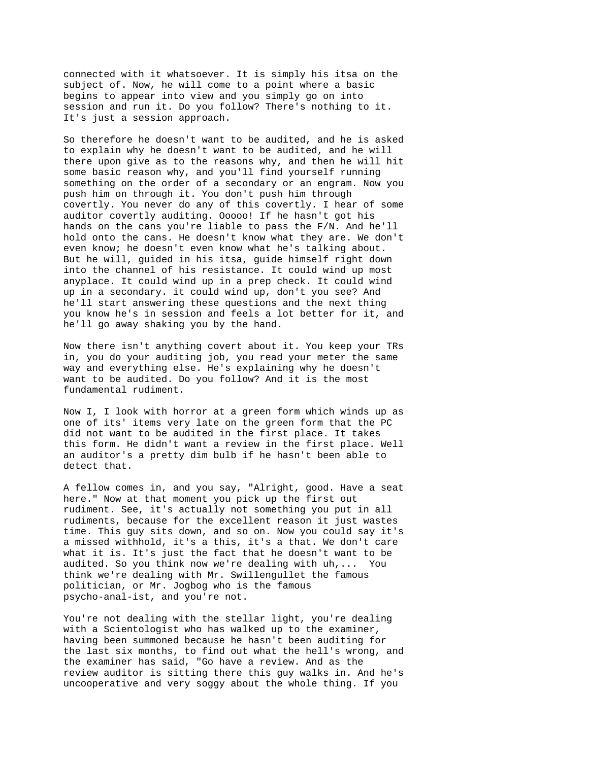connected with it whatsoever. It is simply his itsa on the subject of. Now, he will come to a point where a basic begins to appear into view and you simply go on into session and run it. Do you follow? There's nothing to it. It's just a session approach.

So therefore he doesn't want to be audited, and he is asked to explain why he doesn't want to be audited, and he will there upon give as to the reasons why, and then he will hit some basic reason why, and you'll find yourself running something on the order of a secondary or an engram. Now you push him on through it. You don't push him through covertly. You never do any of this covertly. I hear of some auditor covertly auditing. Ooooo! If he hasn't got his hands on the cans you're liable to pass the F/N. And he'll hold onto the cans. He doesn't know what they are. We don't even know; he doesn't even know what he's talking about. But he will, guided in his itsa, guide himself right down into the channel of his resistance. It could wind up most anyplace. It could wind up in a prep check. It could wind up in a secondary. it could wind up, don't you see? And he'll start answering these questions and the next thing you know he's in session and feels a lot better for it, and he'll go away shaking you by the hand.

Now there isn't anything covert about it. You keep your TRs in, you do your auditing job, you read your meter the same way and everything else. He's explaining why he doesn't want to be audited. Do you follow? And it is the most fundamental rudiment.

Now I, I look with horror at a green form which winds up as one of its' items very late on the green form that the PC did not want to be audited in the first place. It takes this form. He didn't want a review in the first place. Well an auditor's a pretty dim bulb if he hasn't been able to detect that.

A fellow comes in, and you say, "Alright, good. Have a seat here." Now at that moment you pick up the first out rudiment. See, it's actually not something you put in all rudiments, because for the excellent reason it just wastes time. This guy sits down, and so on. Now you could say it's a missed withhold, it's a this, it's a that. We don't care what it is. It's just the fact that he doesn't want to be audited. So you think now we're dealing with uh,... You think we're dealing with Mr. Swillengullet the famous politician, or Mr. Jogbog who is the famous psycho-anal-ist, and you're not.

You're not dealing with the stellar light, you're dealing with a Scientologist who has walked up to the examiner, having been summoned because he hasn't been auditing for the last six months, to find out what the hell's wrong, and the examiner has said, "Go have a review. And as the review auditor is sitting there this guy walks in. And he's uncooperative and very soggy about the whole thing. If you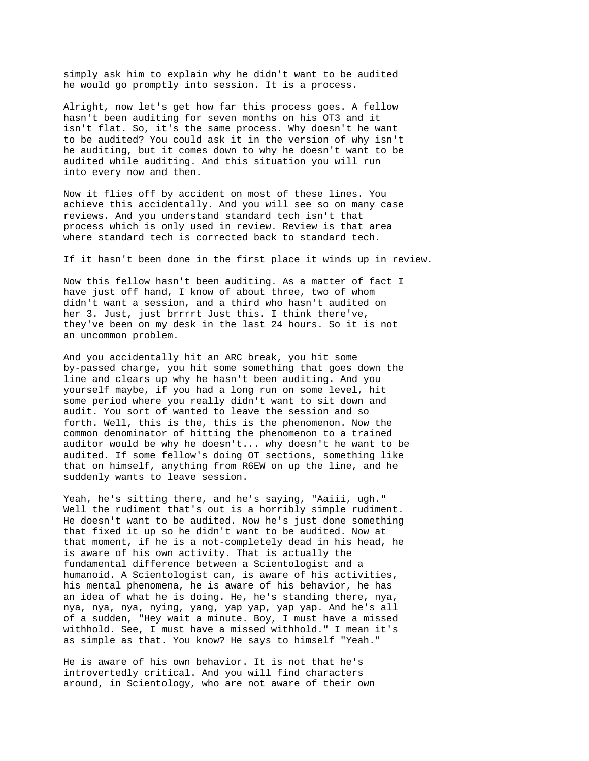simply ask him to explain why he didn't want to be audited he would go promptly into session. It is a process.

Alright, now let's get how far this process goes. A fellow hasn't been auditing for seven months on his OT3 and it isn't flat. So, it's the same process. Why doesn't he want to be audited? You could ask it in the version of why isn't he auditing, but it comes down to why he doesn't want to be audited while auditing. And this situation you will run into every now and then.

Now it flies off by accident on most of these lines. You achieve this accidentally. And you will see so on many case reviews. And you understand standard tech isn't that process which is only used in review. Review is that area where standard tech is corrected back to standard tech.

If it hasn't been done in the first place it winds up in review.

Now this fellow hasn't been auditing. As a matter of fact I have just off hand, I know of about three, two of whom didn't want a session, and a third who hasn't audited on her 3. Just, just brrrrt Just this. I think there've, they've been on my desk in the last 24 hours. So it is not an uncommon problem.

And you accidentally hit an ARC break, you hit some by-passed charge, you hit some something that goes down the line and clears up why he hasn't been auditing. And you yourself maybe, if you had a long run on some level, hit some period where you really didn't want to sit down and audit. You sort of wanted to leave the session and so forth. Well, this is the, this is the phenomenon. Now the common denominator of hitting the phenomenon to a trained auditor would be why he doesn't... why doesn't he want to be audited. If some fellow's doing OT sections, something like that on himself, anything from R6EW on up the line, and he suddenly wants to leave session.

Yeah, he's sitting there, and he's saying, "Aaiii, ugh." Well the rudiment that's out is a horribly simple rudiment. He doesn't want to be audited. Now he's just done something that fixed it up so he didn't want to be audited. Now at that moment, if he is a not-completely dead in his head, he is aware of his own activity. That is actually the fundamental difference between a Scientologist and a humanoid. A Scientologist can, is aware of his activities, his mental phenomena, he is aware of his behavior, he has an idea of what he is doing. He, he's standing there, nya, nya, nya, nya, nying, yang, yap yap, yap yap. And he's all of a sudden, "Hey wait a minute. Boy, I must have a missed withhold. See, I must have a missed withhold." I mean it's as simple as that. You know? He says to himself "Yeah."

He is aware of his own behavior. It is not that he's introvertedly critical. And you will find characters around, in Scientology, who are not aware of their own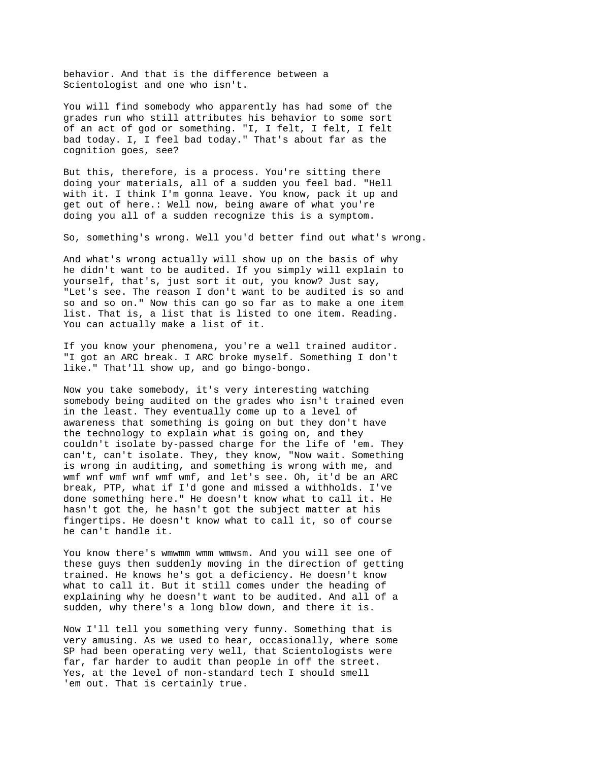behavior. And that is the difference between a Scientologist and one who isn't.

You will find somebody who apparently has had some of the grades run who still attributes his behavior to some sort of an act of god or something. "I, I felt, I felt, I felt bad today. I, I feel bad today." That's about far as the cognition goes, see?

But this, therefore, is a process. You're sitting there doing your materials, all of a sudden you feel bad. "Hell with it. I think I'm gonna leave. You know, pack it up and get out of here.: Well now, being aware of what you're doing you all of a sudden recognize this is a symptom.

So, something's wrong. Well you'd better find out what's wrong.

And what's wrong actually will show up on the basis of why he didn't want to be audited. If you simply will explain to yourself, that's, just sort it out, you know? Just say, "Let's see. The reason I don't want to be audited is so and so and so on." Now this can go so far as to make a one item list. That is, a list that is listed to one item. Reading. You can actually make a list of it.

If you know your phenomena, you're a well trained auditor. "I got an ARC break. I ARC broke myself. Something I don't like." That'll show up, and go bingo-bongo.

Now you take somebody, it's very interesting watching somebody being audited on the grades who isn't trained even in the least. They eventually come up to a level of awareness that something is going on but they don't have the technology to explain what is going on, and they couldn't isolate by-passed charge for the life of 'em. They can't, can't isolate. They, they know, "Now wait. Something is wrong in auditing, and something is wrong with me, and wmf wnf wmf wnf wmf wmf, and let's see. Oh, it'd be an ARC break, PTP, what if I'd gone and missed a withholds. I've done something here." He doesn't know what to call it. He hasn't got the, he hasn't got the subject matter at his fingertips. He doesn't know what to call it, so of course he can't handle it.

You know there's wmwmm wmm wmwsm. And you will see one of these guys then suddenly moving in the direction of getting trained. He knows he's got a deficiency. He doesn't know what to call it. But it still comes under the heading of explaining why he doesn't want to be audited. And all of a sudden, why there's a long blow down, and there it is.

Now I'll tell you something very funny. Something that is very amusing. As we used to hear, occasionally, where some SP had been operating very well, that Scientologists were far, far harder to audit than people in off the street. Yes, at the level of non-standard tech I should smell 'em out. That is certainly true.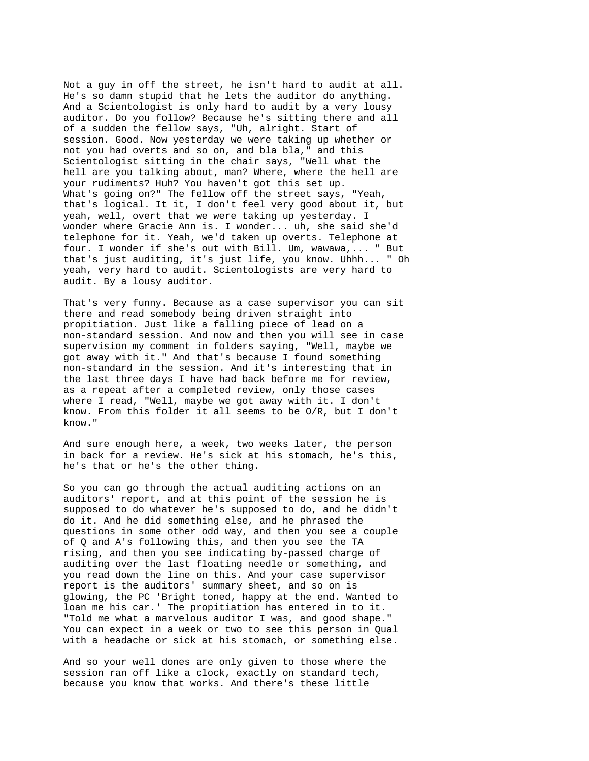Not a guy in off the street, he isn't hard to audit at all. He's so damn stupid that he lets the auditor do anything. And a Scientologist is only hard to audit by a very lousy auditor. Do you follow? Because he's sitting there and all of a sudden the fellow says, "Uh, alright. Start of session. Good. Now yesterday we were taking up whether or not you had overts and so on, and bla bla," and this Scientologist sitting in the chair says, "Well what the hell are you talking about, man? Where, where the hell are your rudiments? Huh? You haven't got this set up. What's going on?" The fellow off the street says, "Yeah, that's logical. It it, I don't feel very good about it, but yeah, well, overt that we were taking up yesterday. I wonder where Gracie Ann is. I wonder... uh, she said she'd telephone for it. Yeah, we'd taken up overts. Telephone at four. I wonder if she's out with Bill. Um, wawawa,... " But that's just auditing, it's just life, you know. Uhhh... " Oh yeah, very hard to audit. Scientologists are very hard to audit. By a lousy auditor.

That's very funny. Because as a case supervisor you can sit there and read somebody being driven straight into propitiation. Just like a falling piece of lead on a non-standard session. And now and then you will see in case supervision my comment in folders saying, "Well, maybe we got away with it." And that's because I found something non-standard in the session. And it's interesting that in the last three days I have had back before me for review, as a repeat after a completed review, only those cases where I read, "Well, maybe we got away with it. I don't know. From this folder it all seems to be O/R, but I don't know."

And sure enough here, a week, two weeks later, the person in back for a review. He's sick at his stomach, he's this, he's that or he's the other thing.

So you can go through the actual auditing actions on an auditors' report, and at this point of the session he is supposed to do whatever he's supposed to do, and he didn't do it. And he did something else, and he phrased the questions in some other odd way, and then you see a couple of Q and A's following this, and then you see the TA rising, and then you see indicating by-passed charge of auditing over the last floating needle or something, and you read down the line on this. And your case supervisor report is the auditors' summary sheet, and so on is glowing, the PC 'Bright toned, happy at the end. Wanted to loan me his car.' The propitiation has entered in to it. "Told me what a marvelous auditor I was, and good shape." You can expect in a week or two to see this person in Qual with a headache or sick at his stomach, or something else.

And so your well dones are only given to those where the session ran off like a clock, exactly on standard tech, because you know that works. And there's these little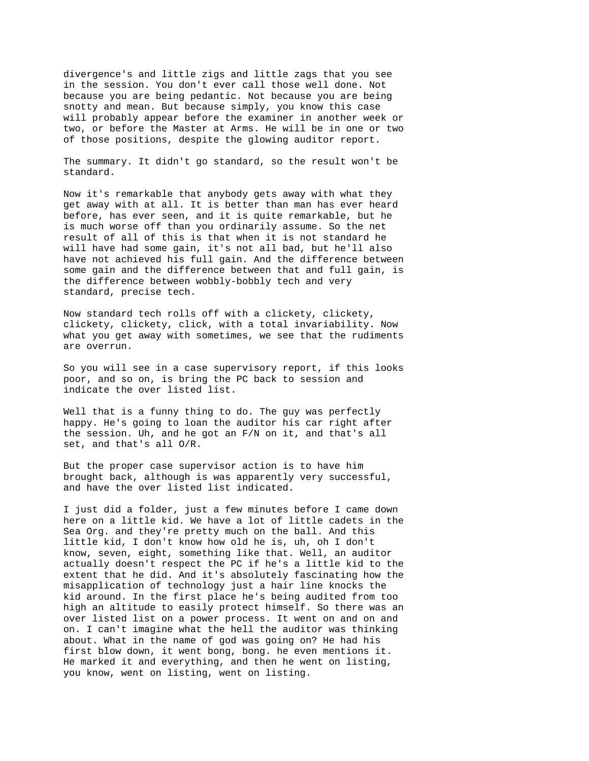divergence's and little zigs and little zags that you see in the session. You don't ever call those well done. Not because you are being pedantic. Not because you are being snotty and mean. But because simply, you know this case will probably appear before the examiner in another week or two, or before the Master at Arms. He will be in one or two of those positions, despite the glowing auditor report.

The summary. It didn't go standard, so the result won't be standard.

Now it's remarkable that anybody gets away with what they get away with at all. It is better than man has ever heard before, has ever seen, and it is quite remarkable, but he is much worse off than you ordinarily assume. So the net result of all of this is that when it is not standard he will have had some gain, it's not all bad, but he'll also have not achieved his full gain. And the difference between some gain and the difference between that and full gain, is the difference between wobbly-bobbly tech and very standard, precise tech.

Now standard tech rolls off with a clickety, clickety, clickety, clickety, click, with a total invariability. Now what you get away with sometimes, we see that the rudiments are overrun.

So you will see in a case supervisory report, if this looks poor, and so on, is bring the PC back to session and indicate the over listed list.

Well that is a funny thing to do. The guy was perfectly happy. He's going to loan the auditor his car right after the session. Uh, and he got an F/N on it, and that's all set, and that's all O/R.

But the proper case supervisor action is to have him brought back, although is was apparently very successful, and have the over listed list indicated.

I just did a folder, just a few minutes before I came down here on a little kid. We have a lot of little cadets in the Sea Org. and they're pretty much on the ball. And this little kid, I don't know how old he is, uh, oh I don't know, seven, eight, something like that. Well, an auditor actually doesn't respect the PC if he's a little kid to the extent that he did. And it's absolutely fascinating how the misapplication of technology just a hair line knocks the kid around. In the first place he's being audited from too high an altitude to easily protect himself. So there was an over listed list on a power process. It went on and on and on. I can't imagine what the hell the auditor was thinking about. What in the name of god was going on? He had his first blow down, it went bong, bong. he even mentions it. He marked it and everything, and then he went on listing, you know, went on listing, went on listing.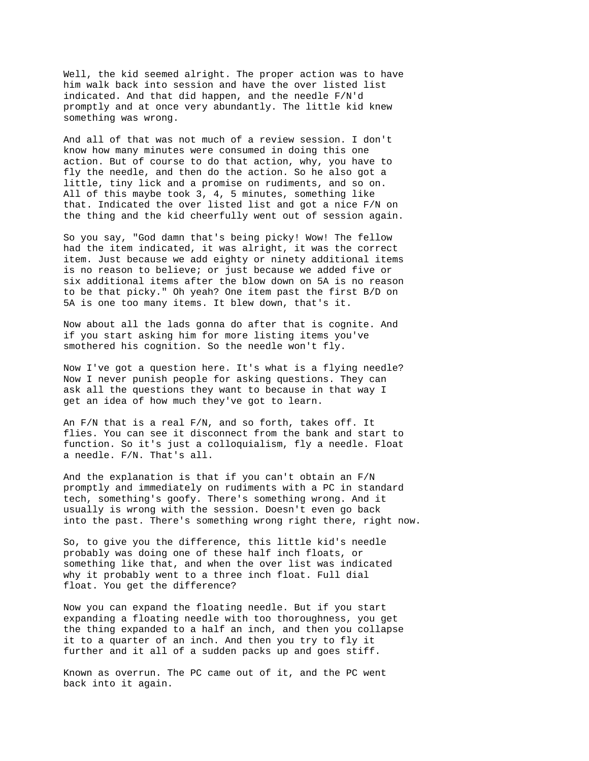Well, the kid seemed alright. The proper action was to have him walk back into session and have the over listed list indicated. And that did happen, and the needle F/N'd promptly and at once very abundantly. The little kid knew something was wrong.

And all of that was not much of a review session. I don't know how many minutes were consumed in doing this one action. But of course to do that action, why, you have to fly the needle, and then do the action. So he also got a little, tiny lick and a promise on rudiments, and so on. All of this maybe took 3, 4, 5 minutes, something like that. Indicated the over listed list and got a nice F/N on the thing and the kid cheerfully went out of session again.

So you say, "God damn that's being picky! Wow! The fellow had the item indicated, it was alright, it was the correct item. Just because we add eighty or ninety additional items is no reason to believe; or just because we added five or six additional items after the blow down on 5A is no reason to be that picky." Oh yeah? One item past the first B/D on 5A is one too many items. It blew down, that's it.

Now about all the lads gonna do after that is cognite. And if you start asking him for more listing items you've smothered his cognition. So the needle won't fly.

Now I've got a question here. It's what is a flying needle? Now I never punish people for asking questions. They can ask all the questions they want to because in that way I get an idea of how much they've got to learn.

An F/N that is a real F/N, and so forth, takes off. It flies. You can see it disconnect from the bank and start to function. So it's just a colloquialism, fly a needle. Float a needle. F/N. That's all.

And the explanation is that if you can't obtain an F/N promptly and immediately on rudiments with a PC in standard tech, something's goofy. There's something wrong. And it usually is wrong with the session. Doesn't even go back into the past. There's something wrong right there, right now.

So, to give you the difference, this little kid's needle probably was doing one of these half inch floats, or something like that, and when the over list was indicated why it probably went to a three inch float. Full dial float. You get the difference?

Now you can expand the floating needle. But if you start expanding a floating needle with too thoroughness, you get the thing expanded to a half an inch, and then you collapse it to a quarter of an inch. And then you try to fly it further and it all of a sudden packs up and goes stiff.

Known as overrun. The PC came out of it, and the PC went back into it again.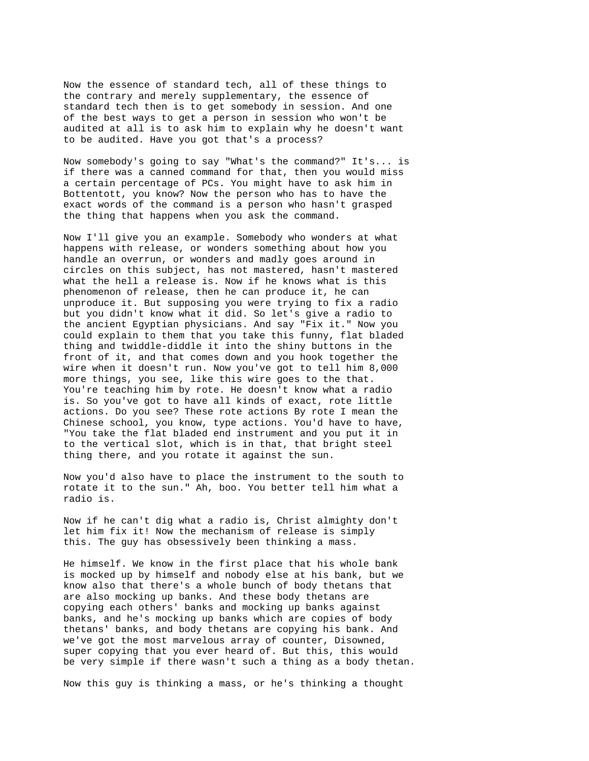Now the essence of standard tech, all of these things to the contrary and merely supplementary, the essence of standard tech then is to get somebody in session. And one of the best ways to get a person in session who won't be audited at all is to ask him to explain why he doesn't want to be audited. Have you got that's a process?

Now somebody's going to say "What's the command?" It's... is if there was a canned command for that, then you would miss a certain percentage of PCs. You might have to ask him in Bottentott, you know? Now the person who has to have the exact words of the command is a person who hasn't grasped the thing that happens when you ask the command.

Now I'll give you an example. Somebody who wonders at what happens with release, or wonders something about how you handle an overrun, or wonders and madly goes around in circles on this subject, has not mastered, hasn't mastered what the hell a release is. Now if he knows what is this phenomenon of release, then he can produce it, he can unproduce it. But supposing you were trying to fix a radio but you didn't know what it did. So let's give a radio to the ancient Egyptian physicians. And say "Fix it." Now you could explain to them that you take this funny, flat bladed thing and twiddle-diddle it into the shiny buttons in the front of it, and that comes down and you hook together the wire when it doesn't run. Now you've got to tell him 8,000 more things, you see, like this wire goes to the that. You're teaching him by rote. He doesn't know what a radio is. So you've got to have all kinds of exact, rote little actions. Do you see? These rote actions By rote I mean the Chinese school, you know, type actions. You'd have to have, "You take the flat bladed end instrument and you put it in to the vertical slot, which is in that, that bright steel thing there, and you rotate it against the sun.

Now you'd also have to place the instrument to the south to rotate it to the sun." Ah, boo. You better tell him what a radio is.

Now if he can't dig what a radio is, Christ almighty don't let him fix it! Now the mechanism of release is simply this. The guy has obsessively been thinking a mass.

He himself. We know in the first place that his whole bank is mocked up by himself and nobody else at his bank, but we know also that there's a whole bunch of body thetans that are also mocking up banks. And these body thetans are copying each others' banks and mocking up banks against banks, and he's mocking up banks which are copies of body thetans' banks, and body thetans are copying his bank. And we've got the most marvelous array of counter, Disowned, super copying that you ever heard of. But this, this would be very simple if there wasn't such a thing as a body thetan.

Now this guy is thinking a mass, or he's thinking a thought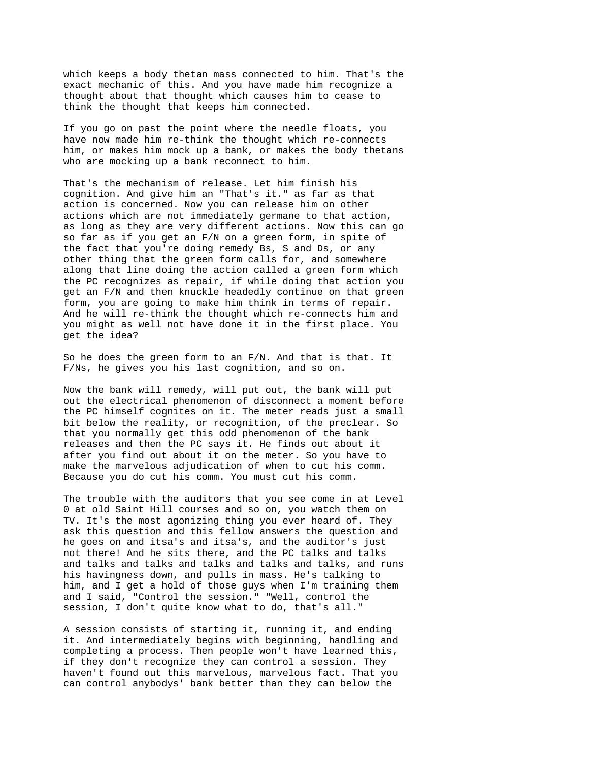which keeps a body thetan mass connected to him. That's the exact mechanic of this. And you have made him recognize a thought about that thought which causes him to cease to think the thought that keeps him connected.

If you go on past the point where the needle floats, you have now made him re-think the thought which re-connects him, or makes him mock up a bank, or makes the body thetans who are mocking up a bank reconnect to him.

That's the mechanism of release. Let him finish his cognition. And give him an "That's it." as far as that action is concerned. Now you can release him on other actions which are not immediately germane to that action, as long as they are very different actions. Now this can go so far as if you get an F/N on a green form, in spite of the fact that you're doing remedy Bs, S and Ds, or any other thing that the green form calls for, and somewhere along that line doing the action called a green form which the PC recognizes as repair, if while doing that action you get an F/N and then knuckle headedly continue on that green form, you are going to make him think in terms of repair. And he will re-think the thought which re-connects him and you might as well not have done it in the first place. You get the idea?

So he does the green form to an  $F/N$ . And that is that. It F/Ns, he gives you his last cognition, and so on.

Now the bank will remedy, will put out, the bank will put out the electrical phenomenon of disconnect a moment before the PC himself cognites on it. The meter reads just a small bit below the reality, or recognition, of the preclear. So that you normally get this odd phenomenon of the bank releases and then the PC says it. He finds out about it after you find out about it on the meter. So you have to make the marvelous adjudication of when to cut his comm. Because you do cut his comm. You must cut his comm.

The trouble with the auditors that you see come in at Level 0 at old Saint Hill courses and so on, you watch them on TV. It's the most agonizing thing you ever heard of. They ask this question and this fellow answers the question and he goes on and itsa's and itsa's, and the auditor's just not there! And he sits there, and the PC talks and talks and talks and talks and talks and talks and talks, and runs his havingness down, and pulls in mass. He's talking to him, and I get a hold of those guys when I'm training them and I said, "Control the session." "Well, control the session, I don't quite know what to do, that's all."

A session consists of starting it, running it, and ending it. And intermediately begins with beginning, handling and completing a process. Then people won't have learned this, if they don't recognize they can control a session. They haven't found out this marvelous, marvelous fact. That you can control anybodys' bank better than they can below the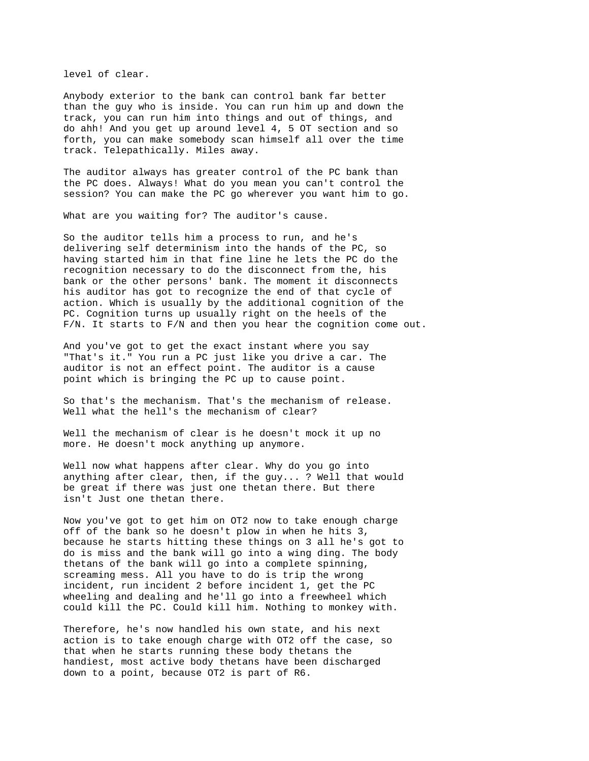level of clear.

Anybody exterior to the bank can control bank far better than the guy who is inside. You can run him up and down the track, you can run him into things and out of things, and do ahh! And you get up around level 4, 5 OT section and so forth, you can make somebody scan himself all over the time track. Telepathically. Miles away.

The auditor always has greater control of the PC bank than the PC does. Always! What do you mean you can't control the session? You can make the PC go wherever you want him to go.

What are you waiting for? The auditor's cause.

So the auditor tells him a process to run, and he's delivering self determinism into the hands of the PC, so having started him in that fine line he lets the PC do the recognition necessary to do the disconnect from the, his bank or the other persons' bank. The moment it disconnects his auditor has got to recognize the end of that cycle of action. Which is usually by the additional cognition of the PC. Cognition turns up usually right on the heels of the F/N. It starts to F/N and then you hear the cognition come out.

And you've got to get the exact instant where you say "That's it." You run a PC just like you drive a car. The auditor is not an effect point. The auditor is a cause point which is bringing the PC up to cause point.

So that's the mechanism. That's the mechanism of release. Well what the hell's the mechanism of clear?

Well the mechanism of clear is he doesn't mock it up no more. He doesn't mock anything up anymore.

Well now what happens after clear. Why do you go into anything after clear, then, if the guy... ? Well that would be great if there was just one thetan there. But there isn't Just one thetan there.

Now you've got to get him on OT2 now to take enough charge off of the bank so he doesn't plow in when he hits 3, because he starts hitting these things on 3 all he's got to do is miss and the bank will go into a wing ding. The body thetans of the bank will go into a complete spinning, screaming mess. All you have to do is trip the wrong incident, run incident 2 before incident 1, get the PC wheeling and dealing and he'll go into a freewheel which could kill the PC. Could kill him. Nothing to monkey with.

Therefore, he's now handled his own state, and his next action is to take enough charge with OT2 off the case, so that when he starts running these body thetans the handiest, most active body thetans have been discharged down to a point, because OT2 is part of R6.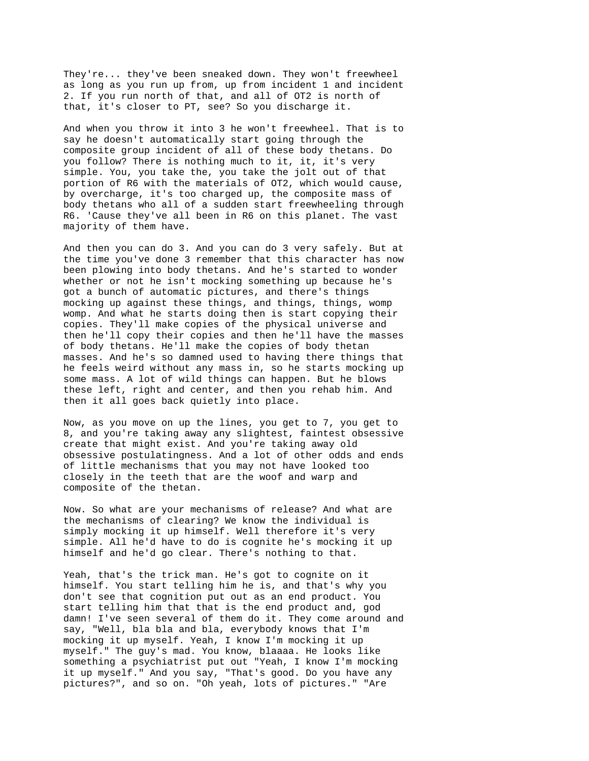They're... they've been sneaked down. They won't freewheel as long as you run up from, up from incident 1 and incident 2. If you run north of that, and all of OT2 is north of that, it's closer to PT, see? So you discharge it.

And when you throw it into 3 he won't freewheel. That is to say he doesn't automatically start going through the composite group incident of all of these body thetans. Do you follow? There is nothing much to it, it, it's very simple. You, you take the, you take the jolt out of that portion of R6 with the materials of OT2, which would cause, by overcharge, it's too charged up, the composite mass of body thetans who all of a sudden start freewheeling through R6. 'Cause they've all been in R6 on this planet. The vast majority of them have.

And then you can do 3. And you can do 3 very safely. But at the time you've done 3 remember that this character has now been plowing into body thetans. And he's started to wonder whether or not he isn't mocking something up because he's got a bunch of automatic pictures, and there's things mocking up against these things, and things, things, womp womp. And what he starts doing then is start copying their copies. They'll make copies of the physical universe and then he'll copy their copies and then he'll have the masses of body thetans. He'll make the copies of body thetan masses. And he's so damned used to having there things that he feels weird without any mass in, so he starts mocking up some mass. A lot of wild things can happen. But he blows these left, right and center, and then you rehab him. And then it all goes back quietly into place.

Now, as you move on up the lines, you get to 7, you get to 8, and you're taking away any slightest, faintest obsessive create that might exist. And you're taking away old obsessive postulatingness. And a lot of other odds and ends of little mechanisms that you may not have looked too closely in the teeth that are the woof and warp and composite of the thetan.

Now. So what are your mechanisms of release? And what are the mechanisms of clearing? We know the individual is simply mocking it up himself. Well therefore it's very simple. All he'd have to do is cognite he's mocking it up himself and he'd go clear. There's nothing to that.

Yeah, that's the trick man. He's got to cognite on it himself. You start telling him he is, and that's why you don't see that cognition put out as an end product. You start telling him that that is the end product and, god damn! I've seen several of them do it. They come around and say, "Well, bla bla and bla, everybody knows that I'm mocking it up myself. Yeah, I know I'm mocking it up myself." The guy's mad. You know, blaaaa. He looks like something a psychiatrist put out "Yeah, I know I'm mocking it up myself." And you say, "That's good. Do you have any pictures?", and so on. "Oh yeah, lots of pictures." "Are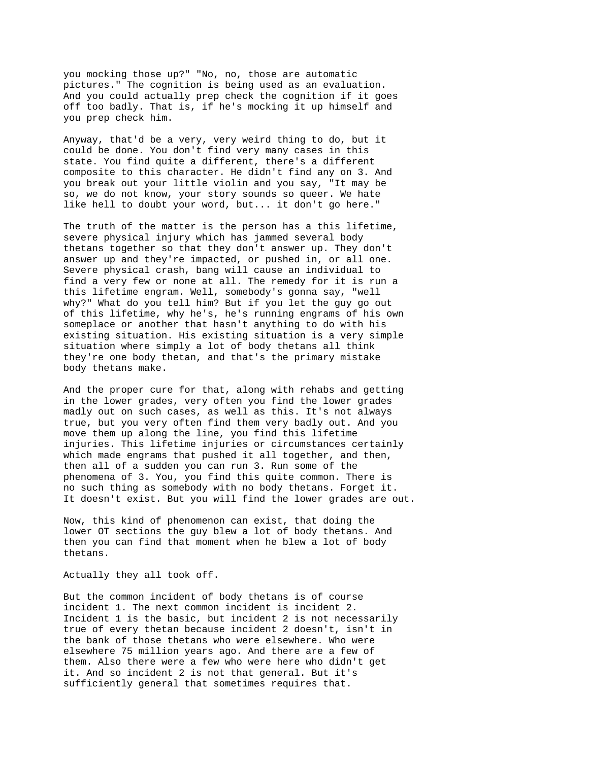you mocking those up?" "No, no, those are automatic pictures." The cognition is being used as an evaluation. And you could actually prep check the cognition if it goes off too badly. That is, if he's mocking it up himself and you prep check him.

Anyway, that'd be a very, very weird thing to do, but it could be done. You don't find very many cases in this state. You find quite a different, there's a different composite to this character. He didn't find any on 3. And you break out your little violin and you say, "It may be so, we do not know, your story sounds so queer. We hate like hell to doubt your word, but... it don't go here."

The truth of the matter is the person has a this lifetime, severe physical injury which has jammed several body thetans together so that they don't answer up. They don't answer up and they're impacted, or pushed in, or all one. Severe physical crash, bang will cause an individual to find a very few or none at all. The remedy for it is run a this lifetime engram. Well, somebody's gonna say, "well why?" What do you tell him? But if you let the guy go out of this lifetime, why he's, he's running engrams of his own someplace or another that hasn't anything to do with his existing situation. His existing situation is a very simple situation where simply a lot of body thetans all think they're one body thetan, and that's the primary mistake body thetans make.

And the proper cure for that, along with rehabs and getting in the lower grades, very often you find the lower grades madly out on such cases, as well as this. It's not always true, but you very often find them very badly out. And you move them up along the line, you find this lifetime injuries. This lifetime injuries or circumstances certainly which made engrams that pushed it all together, and then, then all of a sudden you can run 3. Run some of the phenomena of 3. You, you find this quite common. There is no such thing as somebody with no body thetans. Forget it. It doesn't exist. But you will find the lower grades are out.

Now, this kind of phenomenon can exist, that doing the lower OT sections the guy blew a lot of body thetans. And then you can find that moment when he blew a lot of body thetans.

Actually they all took off.

But the common incident of body thetans is of course incident 1. The next common incident is incident 2. Incident 1 is the basic, but incident 2 is not necessarily true of every thetan because incident 2 doesn't, isn't in the bank of those thetans who were elsewhere. Who were elsewhere 75 million years ago. And there are a few of them. Also there were a few who were here who didn't get it. And so incident 2 is not that general. But it's sufficiently general that sometimes requires that.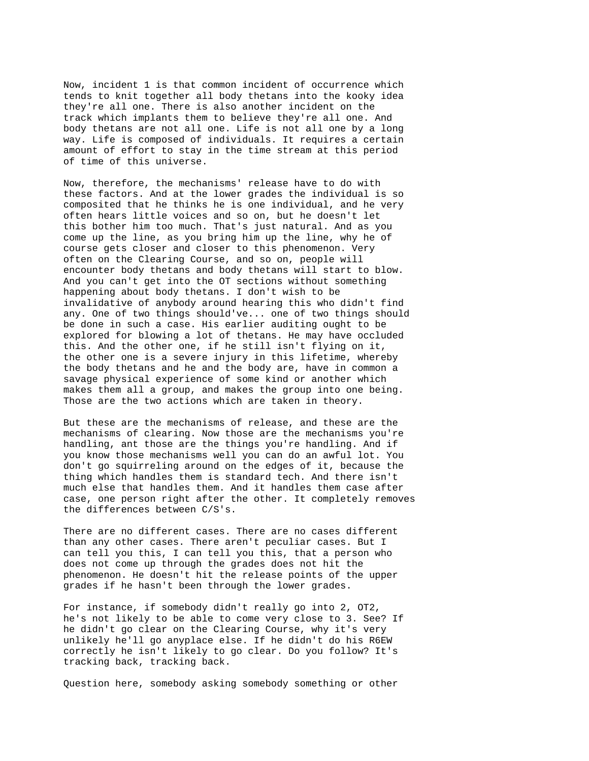Now, incident 1 is that common incident of occurrence which tends to knit together all body thetans into the kooky idea they're all one. There is also another incident on the track which implants them to believe they're all one. And body thetans are not all one. Life is not all one by a long way. Life is composed of individuals. It requires a certain amount of effort to stay in the time stream at this period of time of this universe.

Now, therefore, the mechanisms' release have to do with these factors. And at the lower grades the individual is so composited that he thinks he is one individual, and he very often hears little voices and so on, but he doesn't let this bother him too much. That's just natural. And as you come up the line, as you bring him up the line, why he of course gets closer and closer to this phenomenon. Very often on the Clearing Course, and so on, people will encounter body thetans and body thetans will start to blow. And you can't get into the OT sections without something happening about body thetans. I don't wish to be invalidative of anybody around hearing this who didn't find any. One of two things should've... one of two things should be done in such a case. His earlier auditing ought to be explored for blowing a lot of thetans. He may have occluded this. And the other one, if he still isn't flying on it, the other one is a severe injury in this lifetime, whereby the body thetans and he and the body are, have in common a savage physical experience of some kind or another which makes them all a group, and makes the group into one being. Those are the two actions which are taken in theory.

But these are the mechanisms of release, and these are the mechanisms of clearing. Now those are the mechanisms you're handling, ant those are the things you're handling. And if you know those mechanisms well you can do an awful lot. You don't go squirreling around on the edges of it, because the thing which handles them is standard tech. And there isn't much else that handles them. And it handles them case after case, one person right after the other. It completely removes the differences between C/S's.

There are no different cases. There are no cases different than any other cases. There aren't peculiar cases. But I can tell you this, I can tell you this, that a person who does not come up through the grades does not hit the phenomenon. He doesn't hit the release points of the upper grades if he hasn't been through the lower grades.

For instance, if somebody didn't really go into 2, OT2, he's not likely to be able to come very close to 3. See? If he didn't go clear on the Clearing Course, why it's very unlikely he'll go anyplace else. If he didn't do his R6EW correctly he isn't likely to go clear. Do you follow? It's tracking back, tracking back.

Question here, somebody asking somebody something or other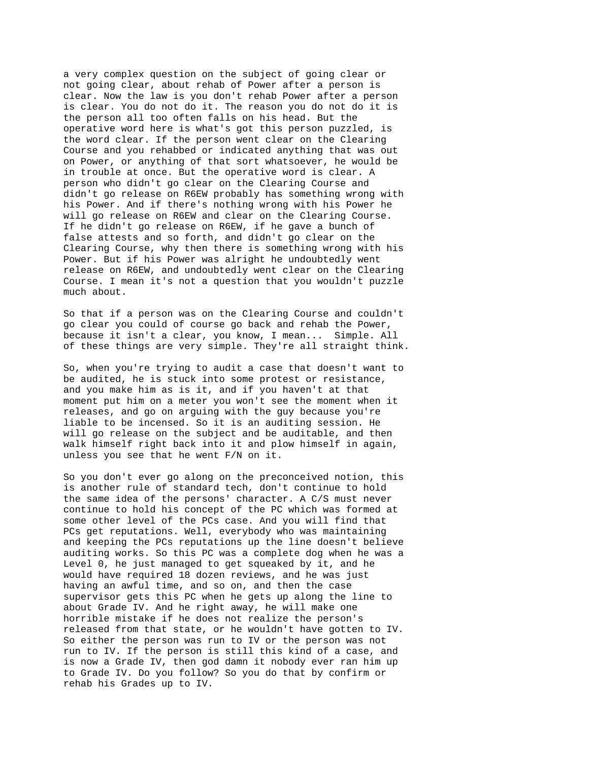a very complex question on the subject of going clear or not going clear, about rehab of Power after a person is clear. Now the law is you don't rehab Power after a person is clear. You do not do it. The reason you do not do it is the person all too often falls on his head. But the operative word here is what's got this person puzzled, is the word clear. If the person went clear on the Clearing Course and you rehabbed or indicated anything that was out on Power, or anything of that sort whatsoever, he would be in trouble at once. But the operative word is clear. A person who didn't go clear on the Clearing Course and didn't go release on R6EW probably has something wrong with his Power. And if there's nothing wrong with his Power he will go release on R6EW and clear on the Clearing Course. If he didn't go release on R6EW, if he gave a bunch of false attests and so forth, and didn't go clear on the Clearing Course, why then there is something wrong with his Power. But if his Power was alright he undoubtedly went release on R6EW, and undoubtedly went clear on the Clearing Course. I mean it's not a question that you wouldn't puzzle much about.

So that if a person was on the Clearing Course and couldn't go clear you could of course go back and rehab the Power, because it isn't a clear, you know, I mean... Simple. All of these things are very simple. They're all straight think.

So, when you're trying to audit a case that doesn't want to be audited, he is stuck into some protest or resistance, and you make him as is it, and if you haven't at that moment put him on a meter you won't see the moment when it releases, and go on arguing with the guy because you're liable to be incensed. So it is an auditing session. He will go release on the subject and be auditable, and then walk himself right back into it and plow himself in again, unless you see that he went F/N on it.

So you don't ever go along on the preconceived notion, this is another rule of standard tech, don't continue to hold the same idea of the persons' character. A C/S must never continue to hold his concept of the PC which was formed at some other level of the PCs case. And you will find that PCs get reputations. Well, everybody who was maintaining and keeping the PCs reputations up the line doesn't believe auditing works. So this PC was a complete dog when he was a Level 0, he just managed to get squeaked by it, and he would have required 18 dozen reviews, and he was just having an awful time, and so on, and then the case supervisor gets this PC when he gets up along the line to about Grade IV. And he right away, he will make one horrible mistake if he does not realize the person's released from that state, or he wouldn't have gotten to IV. So either the person was run to IV or the person was not run to IV. If the person is still this kind of a case, and is now a Grade IV, then god damn it nobody ever ran him up to Grade IV. Do you follow? So you do that by confirm or rehab his Grades up to IV.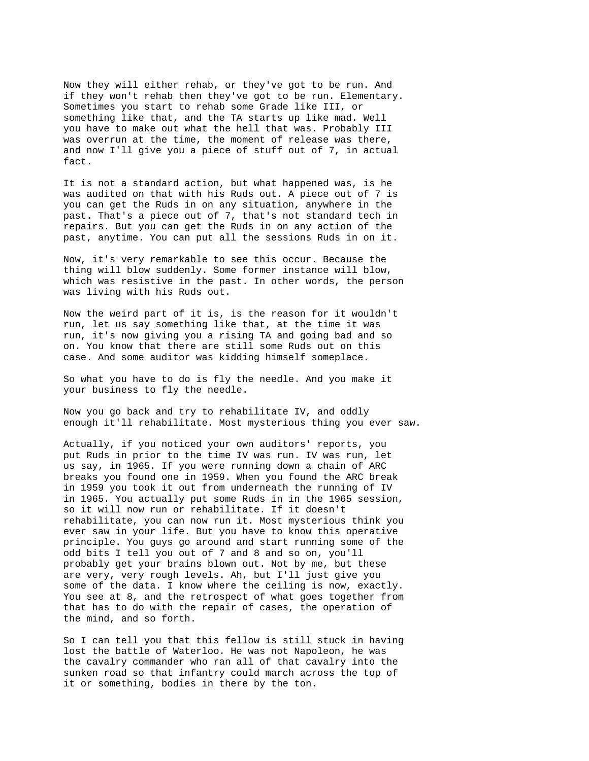Now they will either rehab, or they've got to be run. And if they won't rehab then they've got to be run. Elementary. Sometimes you start to rehab some Grade like III, or something like that, and the TA starts up like mad. Well you have to make out what the hell that was. Probably III was overrun at the time, the moment of release was there, and now I'll give you a piece of stuff out of 7, in actual fact.

It is not a standard action, but what happened was, is he was audited on that with his Ruds out. A piece out of 7 is you can get the Ruds in on any situation, anywhere in the past. That's a piece out of 7, that's not standard tech in repairs. But you can get the Ruds in on any action of the past, anytime. You can put all the sessions Ruds in on it.

Now, it's very remarkable to see this occur. Because the thing will blow suddenly. Some former instance will blow, which was resistive in the past. In other words, the person was living with his Ruds out.

Now the weird part of it is, is the reason for it wouldn't run, let us say something like that, at the time it was run, it's now giving you a rising TA and going bad and so on. You know that there are still some Ruds out on this case. And some auditor was kidding himself someplace.

So what you have to do is fly the needle. And you make it your business to fly the needle.

Now you go back and try to rehabilitate IV, and oddly enough it'll rehabilitate. Most mysterious thing you ever saw.

Actually, if you noticed your own auditors' reports, you put Ruds in prior to the time IV was run. IV was run, let us say, in 1965. If you were running down a chain of ARC breaks you found one in 1959. When you found the ARC break in 1959 you took it out from underneath the running of IV in 1965. You actually put some Ruds in in the 1965 session, so it will now run or rehabilitate. If it doesn't rehabilitate, you can now run it. Most mysterious think you ever saw in your life. But you have to know this operative principle. You guys go around and start running some of the odd bits I tell you out of 7 and 8 and so on, you'll probably get your brains blown out. Not by me, but these are very, very rough levels. Ah, but I'll just give you some of the data. I know where the ceiling is now, exactly. You see at 8, and the retrospect of what goes together from that has to do with the repair of cases, the operation of the mind, and so forth.

So I can tell you that this fellow is still stuck in having lost the battle of Waterloo. He was not Napoleon, he was the cavalry commander who ran all of that cavalry into the sunken road so that infantry could march across the top of it or something, bodies in there by the ton.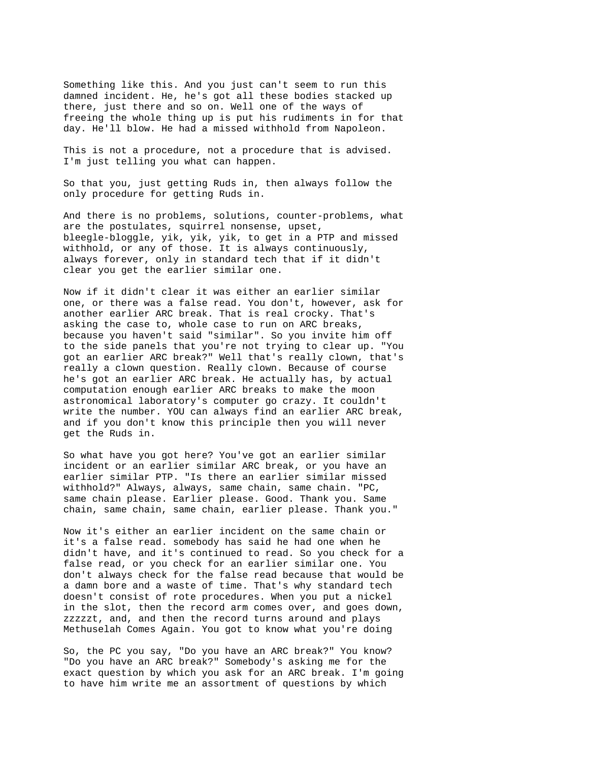Something like this. And you just can't seem to run this damned incident. He, he's got all these bodies stacked up there, just there and so on. Well one of the ways of freeing the whole thing up is put his rudiments in for that day. He'll blow. He had a missed withhold from Napoleon.

This is not a procedure, not a procedure that is advised. I'm just telling you what can happen.

So that you, just getting Ruds in, then always follow the only procedure for getting Ruds in.

And there is no problems, solutions, counter-problems, what are the postulates, squirrel nonsense, upset, bleegle-bloggle, yik, yik, yik, to get in a PTP and missed withhold, or any of those. It is always continuously, always forever, only in standard tech that if it didn't clear you get the earlier similar one.

Now if it didn't clear it was either an earlier similar one, or there was a false read. You don't, however, ask for another earlier ARC break. That is real crocky. That's asking the case to, whole case to run on ARC breaks, because you haven't said "similar". So you invite him off to the side panels that you're not trying to clear up. "You got an earlier ARC break?" Well that's really clown, that's really a clown question. Really clown. Because of course he's got an earlier ARC break. He actually has, by actual computation enough earlier ARC breaks to make the moon astronomical laboratory's computer go crazy. It couldn't write the number. YOU can always find an earlier ARC break, and if you don't know this principle then you will never get the Ruds in.

So what have you got here? You've got an earlier similar incident or an earlier similar ARC break, or you have an earlier similar PTP. "Is there an earlier similar missed withhold?" Always, always, same chain, same chain. "PC, same chain please. Earlier please. Good. Thank you. Same chain, same chain, same chain, earlier please. Thank you."

Now it's either an earlier incident on the same chain or it's a false read. somebody has said he had one when he didn't have, and it's continued to read. So you check for a false read, or you check for an earlier similar one. You don't always check for the false read because that would be a damn bore and a waste of time. That's why standard tech doesn't consist of rote procedures. When you put a nickel in the slot, then the record arm comes over, and goes down, zzzzzt, and, and then the record turns around and plays Methuselah Comes Again. You got to know what you're doing

So, the PC you say, "Do you have an ARC break?" You know? "Do you have an ARC break?" Somebody's asking me for the exact question by which you ask for an ARC break. I'm going to have him write me an assortment of questions by which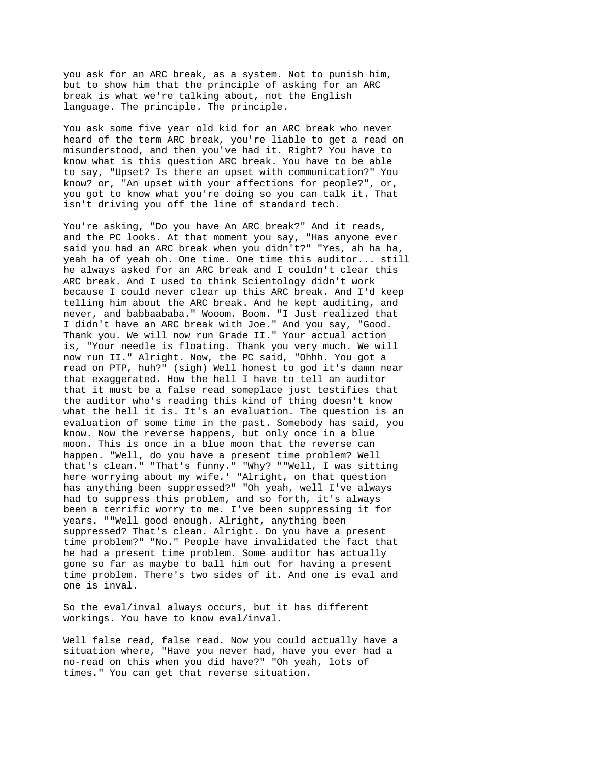you ask for an ARC break, as a system. Not to punish him, but to show him that the principle of asking for an ARC break is what we're talking about, not the English language. The principle. The principle.

You ask some five year old kid for an ARC break who never heard of the term ARC break, you're liable to get a read on misunderstood, and then you've had it. Right? You have to know what is this question ARC break. You have to be able to say, "Upset? Is there an upset with communication?" You know? or, "An upset with your affections for people?", or, you got to know what you're doing so you can talk it. That isn't driving you off the line of standard tech.

You're asking, "Do you have An ARC break?" And it reads, and the PC looks. At that moment you say, "Has anyone ever said you had an ARC break when you didn't?" "Yes, ah ha ha, yeah ha of yeah oh. One time. One time this auditor... still he always asked for an ARC break and I couldn't clear this ARC break. And I used to think Scientology didn't work because I could never clear up this ARC break. And I'd keep telling him about the ARC break. And he kept auditing, and never, and babbaababa." Wooom. Boom. "I Just realized that I didn't have an ARC break with Joe." And you say, "Good. Thank you. We will now run Grade II." Your actual action is, "Your needle is floating. Thank you very much. We will now run II." Alright. Now, the PC said, "Ohhh. You got a read on PTP, huh?" (sigh) Well honest to god it's damn near that exaggerated. How the hell I have to tell an auditor that it must be a false read someplace just testifies that the auditor who's reading this kind of thing doesn't know what the hell it is. It's an evaluation. The question is an evaluation of some time in the past. Somebody has said, you know. Now the reverse happens, but only once in a blue moon. This is once in a blue moon that the reverse can happen. "Well, do you have a present time problem? Well that's clean." "That's funny." "Why? ""Well, I was sitting here worrying about my wife.' "Alright, on that question has anything been suppressed?" "Oh yeah, well I've always had to suppress this problem, and so forth, it's always been a terrific worry to me. I've been suppressing it for years. ""Well good enough. Alright, anything been suppressed? That's clean. Alright. Do you have a present time problem?" "No." People have invalidated the fact that he had a present time problem. Some auditor has actually gone so far as maybe to ball him out for having a present time problem. There's two sides of it. And one is eval and one is inval.

So the eval/inval always occurs, but it has different workings. You have to know eval/inval.

Well false read, false read. Now you could actually have a situation where, "Have you never had, have you ever had a no-read on this when you did have?" "Oh yeah, lots of times." You can get that reverse situation.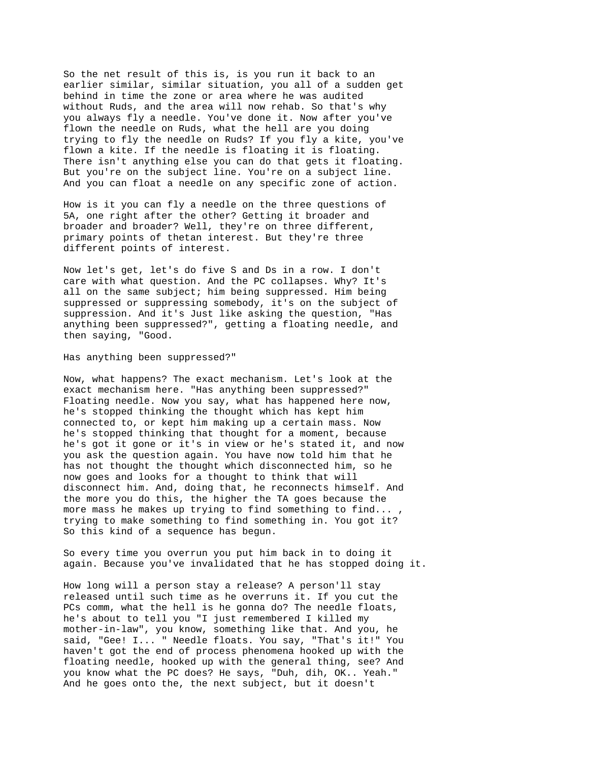So the net result of this is, is you run it back to an earlier similar, similar situation, you all of a sudden get behind in time the zone or area where he was audited without Ruds, and the area will now rehab. So that's why you always fly a needle. You've done it. Now after you've flown the needle on Ruds, what the hell are you doing trying to fly the needle on Ruds? If you fly a kite, you've flown a kite. If the needle is floating it is floating. There isn't anything else you can do that gets it floating. But you're on the subject line. You're on a subject line. And you can float a needle on any specific zone of action.

How is it you can fly a needle on the three questions of 5A, one right after the other? Getting it broader and broader and broader? Well, they're on three different, primary points of thetan interest. But they're three different points of interest.

Now let's get, let's do five S and Ds in a row. I don't care with what question. And the PC collapses. Why? It's all on the same subject; him being suppressed. Him being suppressed or suppressing somebody, it's on the subject of suppression. And it's Just like asking the question, "Has anything been suppressed?", getting a floating needle, and then saying, "Good.

Has anything been suppressed?"

Now, what happens? The exact mechanism. Let's look at the exact mechanism here. "Has anything been suppressed?" Floating needle. Now you say, what has happened here now, he's stopped thinking the thought which has kept him connected to, or kept him making up a certain mass. Now he's stopped thinking that thought for a moment, because he's got it gone or it's in view or he's stated it, and now you ask the question again. You have now told him that he has not thought the thought which disconnected him, so he now goes and looks for a thought to think that will disconnect him. And, doing that, he reconnects himself. And the more you do this, the higher the TA goes because the more mass he makes up trying to find something to find... , trying to make something to find something in. You got it? So this kind of a sequence has begun.

So every time you overrun you put him back in to doing it again. Because you've invalidated that he has stopped doing it.

How long will a person stay a release? A person'll stay released until such time as he overruns it. If you cut the PCs comm, what the hell is he gonna do? The needle floats, he's about to tell you "I just remembered I killed my mother-in-law", you know, something like that. And you, he said, "Gee! I... " Needle floats. You say, "That's it!" You haven't got the end of process phenomena hooked up with the floating needle, hooked up with the general thing, see? And you know what the PC does? He says, "Duh, dih, OK.. Yeah." And he goes onto the, the next subject, but it doesn't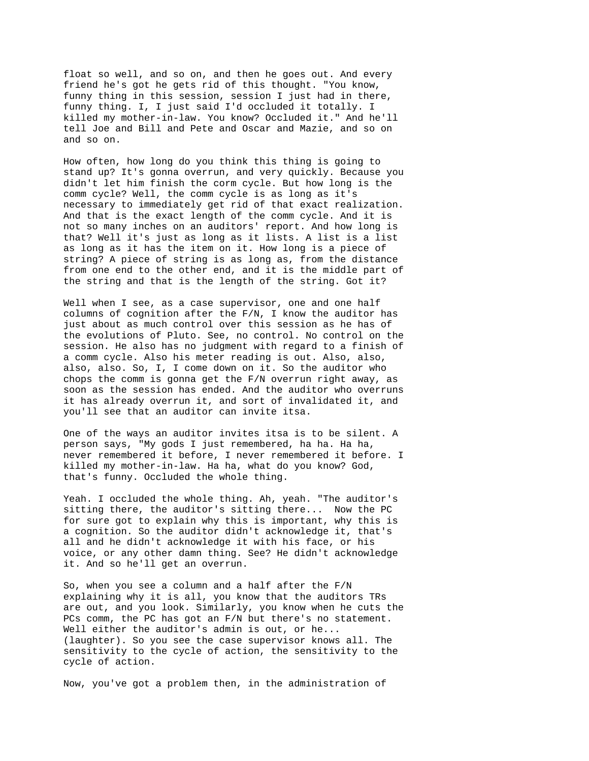float so well, and so on, and then he goes out. And every friend he's got he gets rid of this thought. "You know, funny thing in this session, session I just had in there, funny thing. I, I just said I'd occluded it totally. I killed my mother-in-law. You know? Occluded it." And he'll tell Joe and Bill and Pete and Oscar and Mazie, and so on and so on.

How often, how long do you think this thing is going to stand up? It's gonna overrun, and very quickly. Because you didn't let him finish the corm cycle. But how long is the comm cycle? Well, the comm cycle is as long as it's necessary to immediately get rid of that exact realization. And that is the exact length of the comm cycle. And it is not so many inches on an auditors' report. And how long is that? Well it's just as long as it lists. A list is a list as long as it has the item on it. How long is a piece of string? A piece of string is as long as, from the distance from one end to the other end, and it is the middle part of the string and that is the length of the string. Got it?

Well when I see, as a case supervisor, one and one half columns of cognition after the F/N, I know the auditor has just about as much control over this session as he has of the evolutions of Pluto. See, no control. No control on the session. He also has no judgment with regard to a finish of a comm cycle. Also his meter reading is out. Also, also, also, also. So, I, I come down on it. So the auditor who chops the comm is gonna get the F/N overrun right away, as soon as the session has ended. And the auditor who overruns it has already overrun it, and sort of invalidated it, and you'll see that an auditor can invite itsa.

One of the ways an auditor invites itsa is to be silent. A person says, "My gods I just remembered, ha ha. Ha ha, never remembered it before, I never remembered it before. I killed my mother-in-law. Ha ha, what do you know? God, that's funny. Occluded the whole thing.

Yeah. I occluded the whole thing. Ah, yeah. "The auditor's sitting there, the auditor's sitting there... Now the PC for sure got to explain why this is important, why this is a cognition. So the auditor didn't acknowledge it, that's all and he didn't acknowledge it with his face, or his voice, or any other damn thing. See? He didn't acknowledge it. And so he'll get an overrun.

So, when you see a column and a half after the F/N explaining why it is all, you know that the auditors TRs are out, and you look. Similarly, you know when he cuts the PCs comm, the PC has got an F/N but there's no statement. Well either the auditor's admin is out, or he... (laughter). So you see the case supervisor knows all. The sensitivity to the cycle of action, the sensitivity to the cycle of action.

Now, you've got a problem then, in the administration of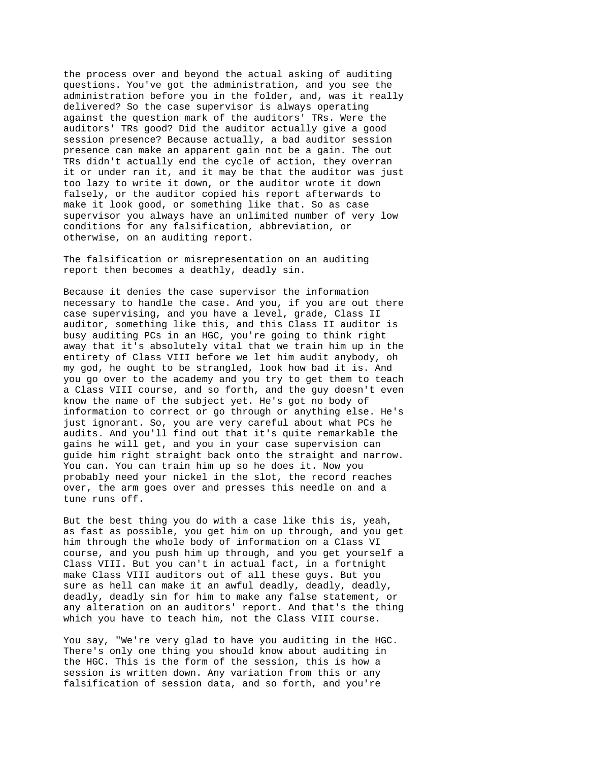the process over and beyond the actual asking of auditing questions. You've got the administration, and you see the administration before you in the folder, and, was it really delivered? So the case supervisor is always operating against the question mark of the auditors' TRs. Were the auditors' TRs good? Did the auditor actually give a good session presence? Because actually, a bad auditor session presence can make an apparent gain not be a gain. The out TRs didn't actually end the cycle of action, they overran it or under ran it, and it may be that the auditor was just too lazy to write it down, or the auditor wrote it down falsely, or the auditor copied his report afterwards to make it look good, or something like that. So as case supervisor you always have an unlimited number of very low conditions for any falsification, abbreviation, or otherwise, on an auditing report.

The falsification or misrepresentation on an auditing report then becomes a deathly, deadly sin.

Because it denies the case supervisor the information necessary to handle the case. And you, if you are out there case supervising, and you have a level, grade, Class II auditor, something like this, and this Class II auditor is busy auditing PCs in an HGC, you're going to think right away that it's absolutely vital that we train him up in the entirety of Class VIII before we let him audit anybody, oh my god, he ought to be strangled, look how bad it is. And you go over to the academy and you try to get them to teach a Class VIII course, and so forth, and the guy doesn't even know the name of the subject yet. He's got no body of information to correct or go through or anything else. He's just ignorant. So, you are very careful about what PCs he audits. And you'll find out that it's quite remarkable the gains he will get, and you in your case supervision can guide him right straight back onto the straight and narrow. You can. You can train him up so he does it. Now you probably need your nickel in the slot, the record reaches over, the arm goes over and presses this needle on and a tune runs off.

But the best thing you do with a case like this is, yeah, as fast as possible, you get him on up through, and you get him through the whole body of information on a Class VI course, and you push him up through, and you get yourself a Class VIII. But you can't in actual fact, in a fortnight make Class VIII auditors out of all these guys. But you sure as hell can make it an awful deadly, deadly, deadly, deadly, deadly sin for him to make any false statement, or any alteration on an auditors' report. And that's the thing which you have to teach him, not the Class VIII course.

You say, "We're very glad to have you auditing in the HGC. There's only one thing you should know about auditing in the HGC. This is the form of the session, this is how a session is written down. Any variation from this or any falsification of session data, and so forth, and you're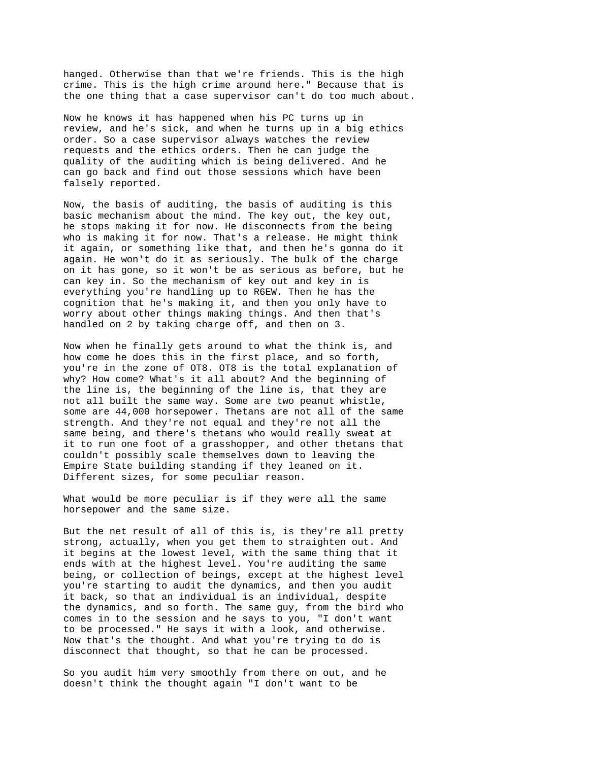hanged. Otherwise than that we're friends. This is the high crime. This is the high crime around here." Because that is the one thing that a case supervisor can't do too much about.

Now he knows it has happened when his PC turns up in review, and he's sick, and when he turns up in a big ethics order. So a case supervisor always watches the review requests and the ethics orders. Then he can judge the quality of the auditing which is being delivered. And he can go back and find out those sessions which have been falsely reported.

Now, the basis of auditing, the basis of auditing is this basic mechanism about the mind. The key out, the key out, he stops making it for now. He disconnects from the being who is making it for now. That's a release. He might think it again, or something like that, and then he's gonna do it again. He won't do it as seriously. The bulk of the charge on it has gone, so it won't be as serious as before, but he can key in. So the mechanism of key out and key in is everything you're handling up to R6EW. Then he has the cognition that he's making it, and then you only have to worry about other things making things. And then that's handled on 2 by taking charge off, and then on 3.

Now when he finally gets around to what the think is, and how come he does this in the first place, and so forth, you're in the zone of OT8. OT8 is the total explanation of why? How come? What's it all about? And the beginning of the line is, the beginning of the line is, that they are not all built the same way. Some are two peanut whistle, some are 44,000 horsepower. Thetans are not all of the same strength. And they're not equal and they're not all the same being, and there's thetans who would really sweat at it to run one foot of a grasshopper, and other thetans that couldn't possibly scale themselves down to leaving the Empire State building standing if they leaned on it. Different sizes, for some peculiar reason.

What would be more peculiar is if they were all the same horsepower and the same size.

But the net result of all of this is, is they're all pretty strong, actually, when you get them to straighten out. And it begins at the lowest level, with the same thing that it ends with at the highest level. You're auditing the same being, or collection of beings, except at the highest level you're starting to audit the dynamics, and then you audit it back, so that an individual is an individual, despite the dynamics, and so forth. The same guy, from the bird who comes in to the session and he says to you, "I don't want to be processed." He says it with a look, and otherwise. Now that's the thought. And what you're trying to do is disconnect that thought, so that he can be processed.

So you audit him very smoothly from there on out, and he doesn't think the thought again "I don't want to be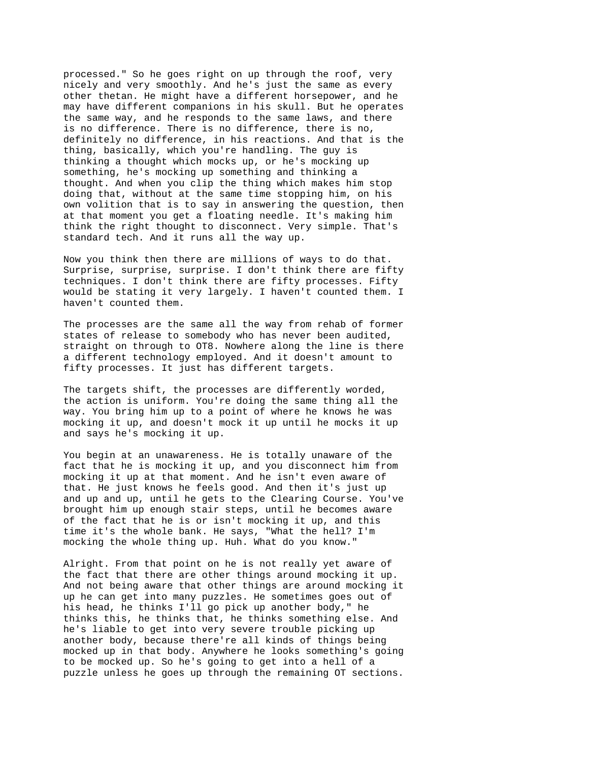processed." So he goes right on up through the roof, very nicely and very smoothly. And he's just the same as every other thetan. He might have a different horsepower, and he may have different companions in his skull. But he operates the same way, and he responds to the same laws, and there is no difference. There is no difference, there is no, definitely no difference, in his reactions. And that is the thing, basically, which you're handling. The guy is thinking a thought which mocks up, or he's mocking up something, he's mocking up something and thinking a thought. And when you clip the thing which makes him stop doing that, without at the same time stopping him, on his own volition that is to say in answering the question, then at that moment you get a floating needle. It's making him think the right thought to disconnect. Very simple. That's standard tech. And it runs all the way up.

Now you think then there are millions of ways to do that. Surprise, surprise, surprise. I don't think there are fifty techniques. I don't think there are fifty processes. Fifty would be stating it very largely. I haven't counted them. I haven't counted them.

The processes are the same all the way from rehab of former states of release to somebody who has never been audited, straight on through to OT8. Nowhere along the line is there a different technology employed. And it doesn't amount to fifty processes. It just has different targets.

The targets shift, the processes are differently worded, the action is uniform. You're doing the same thing all the way. You bring him up to a point of where he knows he was mocking it up, and doesn't mock it up until he mocks it up and says he's mocking it up.

You begin at an unawareness. He is totally unaware of the fact that he is mocking it up, and you disconnect him from mocking it up at that moment. And he isn't even aware of that. He just knows he feels good. And then it's just up and up and up, until he gets to the Clearing Course. You've brought him up enough stair steps, until he becomes aware of the fact that he is or isn't mocking it up, and this time it's the whole bank. He says, "What the hell? I'm mocking the whole thing up. Huh. What do you know."

Alright. From that point on he is not really yet aware of the fact that there are other things around mocking it up. And not being aware that other things are around mocking it up he can get into many puzzles. He sometimes goes out of his head, he thinks I'll go pick up another body," he thinks this, he thinks that, he thinks something else. And he's liable to get into very severe trouble picking up another body, because there're all kinds of things being mocked up in that body. Anywhere he looks something's going to be mocked up. So he's going to get into a hell of a puzzle unless he goes up through the remaining OT sections.